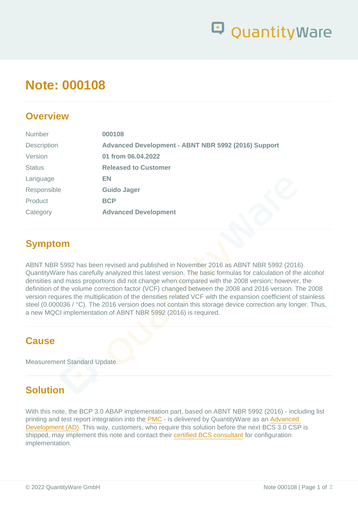# Note: 000108

#### **Overview**

| <b>Number</b> | 000108                                              |
|---------------|-----------------------------------------------------|
| Description   | Advanced Development - ABNT NBR 5992 (2016) Support |
| Version       | 01 from 06.04.2022                                  |
| <b>Status</b> | <b>Released to Customer</b>                         |
| Language      | EN                                                  |
| Responsible   | Guido Jager                                         |
| Product       | <b>BCP</b>                                          |
| Category      | <b>Advanced Development</b>                         |
|               |                                                     |

### Symptom

ABNT NBR 5992 has been revised and published in November 2016 as ABNT NBR 5992 (2016). QuantityWare has carefully analyzed this latest version. The basic formulas for calculation of the alcohol densities and mass proportions did not change when compared with the 2008 version; however, the definition of the volume correction factor (VCF) changed between the 2008 and 2016 version. The 2008 version requires the multiplication of the densities related VCF with the expansion coefficient of stainless steel (0.000036 / °C). The 2016 version does not contain this storage device correction any longer. Thus, a new MQCI implementation of ABNT NBR 5992 (2016) is required.

#### **Cause**

Measurement Standard Update.

# **Solution**

With this note, the BCP 3.0 ABAP implementation part, based on ABNT NBR 5992 (2016) - including list printing and test report integration into the [PMC](https://www.quantityware.com/glossary/pmc/) - is delivered by QuantityWare as an [Advanced](https://www.quantityware.com/wp-content/uploads/Note-000099.pdf?v=2021-02-22-09-51-16)  [Development \(AD\)](https://www.quantityware.com/wp-content/uploads/Note-000099.pdf?v=2021-02-22-09-51-16). This way, customers, who require this solution before the next BCS 3.0 CSP is shipped, may implement this note and contact their [certified BCS consultant](https://www.quantityware.com/support/certified-consultants/) for configuration implementation.